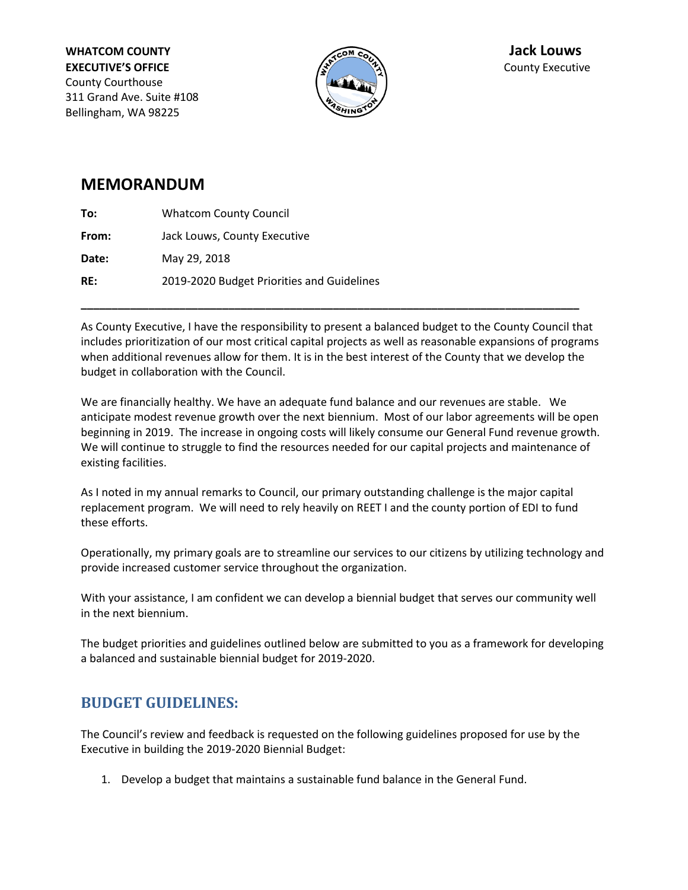**WHATCOM COUNTY Jack Louws EXECUTIVE'S OFFICE**  $\mathbb{Z}^{\mathbb{Z}}$  (3) County Executive County Courthouse 311 Grand Ave. Suite #108 Bellingham, WA 98225



## **MEMORANDUM**

**To:** Whatcom County Council **From:** Jack Louws, County Executive **Date:** May 29, 2018

**RE:** 2019-2020 Budget Priorities and Guidelines

As County Executive, I have the responsibility to present a balanced budget to the County Council that includes prioritization of our most critical capital projects as well as reasonable expansions of programs when additional revenues allow for them. It is in the best interest of the County that we develop the budget in collaboration with the Council.

**\_\_\_\_\_\_\_\_\_\_\_\_\_\_\_\_\_\_\_\_\_\_\_\_\_\_\_\_\_\_\_\_\_\_\_\_\_\_\_\_\_\_\_\_\_\_\_\_\_\_\_\_\_\_\_\_\_\_\_\_\_\_\_\_\_\_\_\_\_\_\_\_\_\_\_\_\_\_\_\_\_**

We are financially healthy. We have an adequate fund balance and our revenues are stable. We anticipate modest revenue growth over the next biennium. Most of our labor agreements will be open beginning in 2019. The increase in ongoing costs will likely consume our General Fund revenue growth. We will continue to struggle to find the resources needed for our capital projects and maintenance of existing facilities.

As I noted in my annual remarks to Council, our primary outstanding challenge is the major capital replacement program. We will need to rely heavily on REET I and the county portion of EDI to fund these efforts.

Operationally, my primary goals are to streamline our services to our citizens by utilizing technology and provide increased customer service throughout the organization.

With your assistance, I am confident we can develop a biennial budget that serves our community well in the next biennium.

The budget priorities and guidelines outlined below are submitted to you as a framework for developing a balanced and sustainable biennial budget for 2019-2020.

## **BUDGET GUIDELINES:**

The Council's review and feedback is requested on the following guidelines proposed for use by the Executive in building the 2019-2020 Biennial Budget:

1. Develop a budget that maintains a sustainable fund balance in the General Fund.